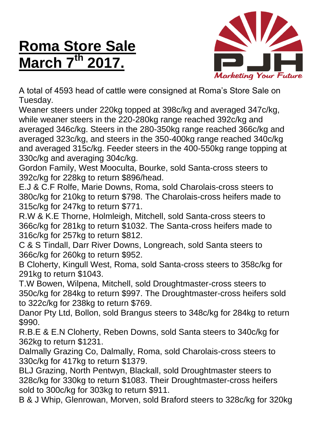## **Roma Store Sale March 7 th 2017.**



A total of 4593 head of cattle were consigned at Roma's Store Sale on Tuesday.

Weaner steers under 220kg topped at 398c/kg and averaged 347c/kg, while weaner steers in the 220-280kg range reached 392c/kg and averaged 346c/kg. Steers in the 280-350kg range reached 366c/kg and averaged 323c/kg, and steers in the 350-400kg range reached 340c/kg and averaged 315c/kg. Feeder steers in the 400-550kg range topping at 330c/kg and averaging 304c/kg.

Gordon Family, West Mooculta, Bourke, sold Santa-cross steers to 392c/kg for 228kg to return \$896/head.

E.J & C.F Rolfe, Marie Downs, Roma, sold Charolais-cross steers to 380c/kg for 210kg to return \$798. The Charolais-cross heifers made to 315c/kg for 247kg to return \$771.

R.W & K.E Thorne, Holmleigh, Mitchell, sold Santa-cross steers to 366c/kg for 281kg to return \$1032. The Santa-cross heifers made to 316c/kg for 257kg to return \$812.

C & S Tindall, Darr River Downs, Longreach, sold Santa steers to 366c/kg for 260kg to return \$952.

B Cloherty, Kingull West, Roma, sold Santa-cross steers to 358c/kg for 291kg to return \$1043.

T.W Bowen, Wilpena, Mitchell, sold Droughtmaster-cross steers to 350c/kg for 284kg to return \$997. The Droughtmaster-cross heifers sold to 322c/kg for 238kg to return \$769.

Danor Pty Ltd, Bollon, sold Brangus steers to 348c/kg for 284kg to return \$990.

R.B.E & E.N Cloherty, Reben Downs, sold Santa steers to 340c/kg for 362kg to return \$1231.

Dalmally Grazing Co, Dalmally, Roma, sold Charolais-cross steers to 330c/kg for 417kg to return \$1379.

BLJ Grazing, North Pentwyn, Blackall, sold Droughtmaster steers to 328c/kg for 330kg to return \$1083. Their Droughtmaster-cross heifers sold to 300c/kg for 303kg to return \$911.

B & J Whip, Glenrowan, Morven, sold Braford steers to 328c/kg for 320kg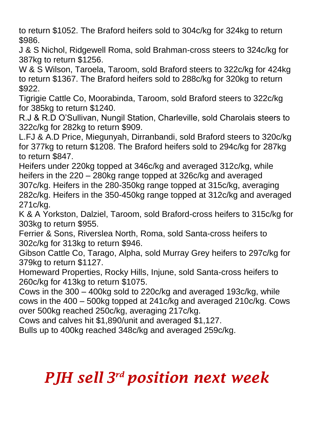to return \$1052. The Braford heifers sold to 304c/kg for 324kg to return \$986.

J & S Nichol, Ridgewell Roma, sold Brahman-cross steers to 324c/kg for 387kg to return \$1256.

W & S Wilson, Taroela, Taroom, sold Braford steers to 322c/kg for 424kg to return \$1367. The Braford heifers sold to 288c/kg for 320kg to return \$922.

Tigrigie Cattle Co, Moorabinda, Taroom, sold Braford steers to 322c/kg for 385kg to return \$1240.

R.J & R.D O'Sullivan, Nungil Station, Charleville, sold Charolais steers to 322c/kg for 282kg to return \$909.

L.FJ & A.D Price, Miegunyah, Dirranbandi, sold Braford steers to 320c/kg for 377kg to return \$1208. The Braford heifers sold to 294c/kg for 287kg to return \$847.

Heifers under 220kg topped at 346c/kg and averaged 312c/kg, while heifers in the 220 – 280kg range topped at 326c/kg and averaged 307c/kg. Heifers in the 280-350kg range topped at 315c/kg, averaging 282c/kg. Heifers in the 350-450kg range topped at 312c/kg and averaged 271c/kg.

K & A Yorkston, Dalziel, Taroom, sold Braford-cross heifers to 315c/kg for 303kg to return \$955.

Ferrier & Sons, Riverslea North, Roma, sold Santa-cross heifers to 302c/kg for 313kg to return \$946.

Gibson Cattle Co, Tarago, Alpha, sold Murray Grey heifers to 297c/kg for 379kg to return \$1127.

Homeward Properties, Rocky Hills, Injune, sold Santa-cross heifers to 260c/kg for 413kg to return \$1075.

Cows in the 300 – 400kg sold to 220c/kg and averaged 193c/kg, while cows in the 400 – 500kg topped at 241c/kg and averaged 210c/kg. Cows over 500kg reached 250c/kg, averaging 217c/kg.

Cows and calves hit \$1,890/unit and averaged \$1,127.

Bulls up to 400kg reached 348c/kg and averaged 259c/kg.

## *PJH sell 3 rd position next week*